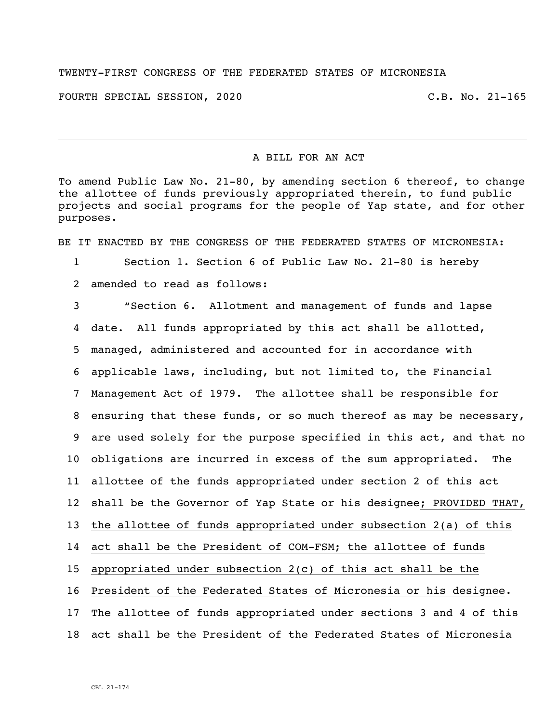## TWENTY-FIRST CONGRESS OF THE FEDERATED STATES OF MICRONESIA

FOURTH SPECIAL SESSION, 2020 C.B. No. 21-165

i<br>L

## A BILL FOR AN ACT

To amend Public Law No. 21-80, by amending section 6 thereof, to change the allottee of funds previously appropriated therein, to fund public projects and social programs for the people of Yap state, and for other purposes.

BE IT ENACTED BY THE CONGRESS OF THE FEDERATED STATES OF MICRONESIA:

Section 1. Section 6 of Public Law No. 21-80 is hereby

amended to read as follows:

 "Section 6. Allotment and management of funds and lapse date. All funds appropriated by this act shall be allotted, managed, administered and accounted for in accordance with applicable laws, including, but not limited to, the Financial Management Act of 1979. The allottee shall be responsible for ensuring that these funds, or so much thereof as may be necessary, are used solely for the purpose specified in this act, and that no obligations are incurred in excess of the sum appropriated. The allottee of the funds appropriated under section 2 of this act shall be the Governor of Yap State or his designee; PROVIDED THAT, the allottee of funds appropriated under subsection 2(a) of this act shall be the President of COM-FSM; the allottee of funds appropriated under subsection 2(c) of this act shall be the President of the Federated States of Micronesia or his designee. The allottee of funds appropriated under sections 3 and 4 of this act shall be the President of the Federated States of Micronesia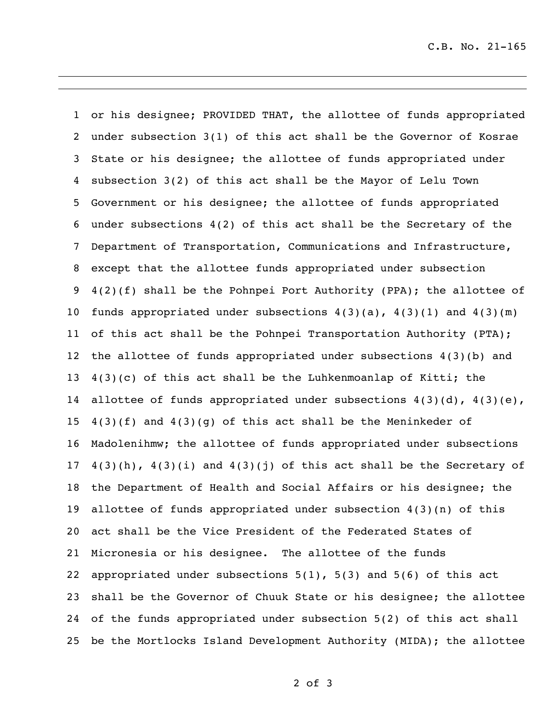or his designee; PROVIDED THAT, the allottee of funds appropriated under subsection 3(1) of this act shall be the Governor of Kosrae State or his designee; the allottee of funds appropriated under subsection 3(2) of this act shall be the Mayor of Lelu Town Government or his designee; the allottee of funds appropriated under subsections 4(2) of this act shall be the Secretary of the Department of Transportation, Communications and Infrastructure, except that the allottee funds appropriated under subsection 4(2)(f) shall be the Pohnpei Port Authority (PPA); the allottee of 10 funds appropriated under subsections  $4(3)(a)$ ,  $4(3)(1)$  and  $4(3)(m)$  of this act shall be the Pohnpei Transportation Authority (PTA); the allottee of funds appropriated under subsections 4(3)(b) and  $4(3)(c)$  of this act shall be the Luhkenmoanlap of Kitti; the 14 allottee of funds appropriated under subsections  $4(3)(d)$ ,  $4(3)(e)$ ,  $4(3)(f)$  and  $4(3)(g)$  of this act shall be the Meninkeder of Madolenihmw; the allottee of funds appropriated under subsections  $4(3)(h)$ ,  $4(3)(i)$  and  $4(3)(j)$  of this act shall be the Secretary of the Department of Health and Social Affairs or his designee; the allottee of funds appropriated under subsection 4(3)(n) of this act shall be the Vice President of the Federated States of Micronesia or his designee. The allottee of the funds appropriated under subsections 5(1), 5(3) and 5(6) of this act shall be the Governor of Chuuk State or his designee; the allottee of the funds appropriated under subsection 5(2) of this act shall be the Mortlocks Island Development Authority (MIDA); the allottee